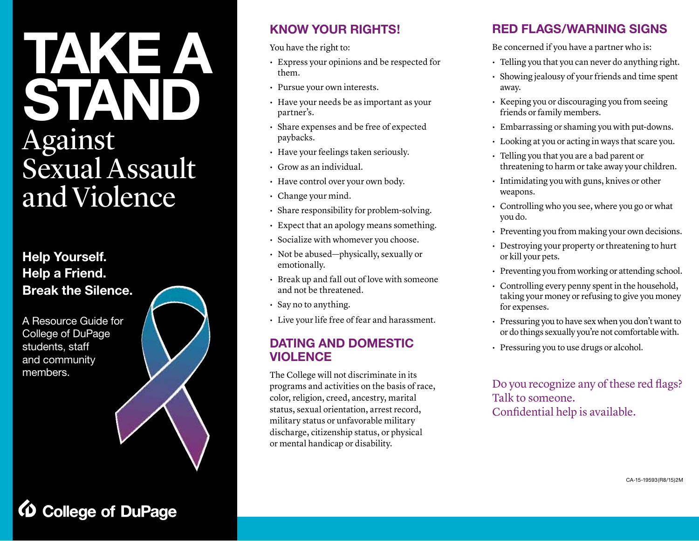# **TAKE ST** Against Sexual Assault and Violence

**Help Yourself. Help a Friend. Break the Silence.**

A Resource Guide for College of DuPage students, staff and community members.

**College of DuPage** 



### **KNOW YOUR RIGHTS!**

You have the right to:

- Express your opinions and be respected for them.
- Pursue your own interests.
- Have your needs be as important as your partner's.
- Share expenses and be free of expected paybacks.
- Have your feelings taken seriously.
- Grow as an individual.
- Have control over your own body.
- Change your mind.
- Share responsibility for problem-solving.
- Expect that an apology means something.
- Socialize with whomever you choose.
- Not be abused—physically, sexually or emotionally.
- Break up and fall out of love with someone and not be threatened.
- Say no to anything.
- Live your life free of fear and harassment.

### **DATING AND DOMESTIC VIOLENCE**

The College will not discriminate in its programs and activities on the basis of race, color, religion, creed, ancestry, marital status, sexual orientation, arrest record, military status or unfavorable military discharge, citizenship status, or physical or mental handicap or disability.

### **RED FLAGS/WARNING SIGNS**

Be concerned if you have a partner who is:

- Telling you that you can never do anything right.
- Showing jealousy of your friends and time spent away.
- Keeping you or discouraging you from seeing friends or family members.
- Embarrassing or shaming you with put-downs.
- Looking at you or acting in ways that scare you.
- Telling you that you are a bad parent or threatening to harm or take away your children.
- Intimidating you with guns, knives or other weapons.
- Controlling who you see, where you go or what you do.
- Preventing you from making your own decisions.
- Destroying your property or threatening to hurt or kill your pets.
- Preventing you from working or attending school.
- Controlling every penny spent in the household, taking your money or refusing to give you money for expenses.
- Pressuring you to have sex when you don't want to or do things sexually you're not comfortable with.
- Pressuring you to use drugs or alcohol.

Do you recognize any of these red flags? Talk to someone. Confidential help is available.